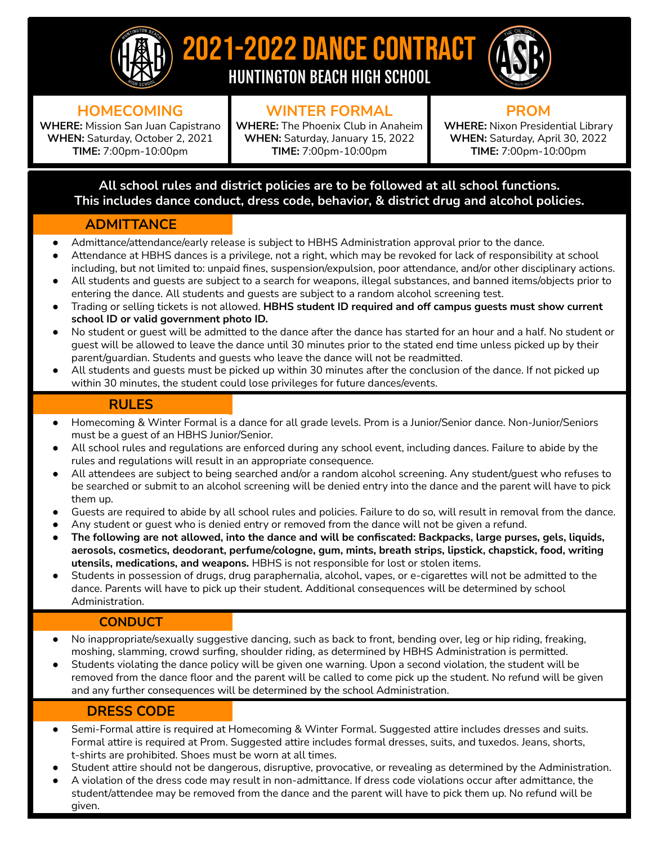

## 2021-2022 DANCE CONTRACT HUNTINGTON BEACH HIGH SCHOOL



### **HOMECOMING**

**WHERE:** Mission San Juan Capistrano **WHEN:** Saturday, October 2, 2021 **TIME:** 7:00pm-10:00pm

## **WINTER FORMAL**

**WHERE:** The Phoenix Club in Anaheim **WHEN:** Saturday, January 15, 2022 **TIME:** 7:00pm-10:00pm

**PROM WHERE:** Nixon Presidential Library **WHEN:** Saturday, April 30, 2022 **TIME:** 7:00pm-10:00pm

#### **All school rules and district policies are to be followed at all school functions. This includes dance conduct, dress code, behavior, & district drug and alcohol policies.**

#### **ADMITTANCE**

- Admittance/attendance/early release is subject to HBHS Administration approval prior to the dance.
- Attendance at HBHS dances is a privilege, not a right, which may be revoked for lack of responsibility at school including, but not limited to: unpaid fines, suspension/expulsion, poor attendance, and/or other disciplinary actions. All students and guests are subject to a search for weapons, illegal substances, and banned items/objects prior to
- entering the dance. All students and guests are subject to a random alcohol screening test.
- Trading or selling tickets is not allowed. **HBHS student ID required and off campus guests must show current school ID or valid government photo ID.**
- No student or guest will be admitted to the dance after the dance has started for an hour and a half. No student or guest will be allowed to leave the dance until 30 minutes prior to the stated end time unless picked up by their parent/guardian. Students and guests who leave the dance will not be readmitted.
- All students and quests must be picked up within 30 minutes after the conclusion of the dance. If not picked up within 30 minutes, the student could lose privileges for future dances/events.

#### **RULES**

- Homecoming & Winter Formal is a dance for all grade levels. Prom is a Junior/Senior dance. Non-Junior/Seniors must be a guest of an HBHS Junior/Senior.
- All school rules and regulations are enforced during any school event, including dances. Failure to abide by the rules and regulations will result in an appropriate consequence.
- All attendees are subject to being searched and/or a random alcohol screening. Any student/guest who refuses to be searched or submit to an alcohol screening will be denied entry into the dance and the parent will have to pick them up.
- Guests are required to abide by all school rules and policies. Failure to do so, will result in removal from the dance.
- Any student or quest who is denied entry or removed from the dance will not be given a refund.
- The following are not allowed, into the dance and will be confiscated: Backpacks, large purses, gels, liquids, **aerosols, cosmetics, deodorant, perfume/cologne, gum, mints, breath strips, lipstick, chapstick, food, writing utensils, medications, and weapons.** HBHS is not responsible for lost or stolen items.
- Students in possession of drugs, drug paraphernalia, alcohol, vapes, or e-cigarettes will not be admitted to the dance. Parents will have to pick up their student. Additional consequences will be determined by school Administration.

#### **CONDUCT**

- No inappropriate/sexually suggestive dancing, such as back to front, bending over, leg or hip riding, freaking, moshing, slamming, crowd surfing, shoulder riding, as determined by HBHS Administration is permitted.
- Students violating the dance policy will be given one warning. Upon a second violation, the student will be removed from the dance floor and the parent will be called to come pick up the student. No refund will be given and any further consequences will be determined by the school Administration.

#### **DRESS CODE**

- Semi-Formal attire is required at Homecoming & Winter Formal. Suggested attire includes dresses and suits. Formal attire is required at Prom. Suggested attire includes formal dresses, suits, and tuxedos. Jeans, shorts, t-shirts are prohibited. Shoes must be worn at all times.
- Student attire should not be dangerous, disruptive, provocative, or revealing as determined by the Administration.
- A violation of the dress code may result in non-admittance. If dress code violations occur after admittance, the student/attendee may be removed from the dance and the parent will have to pick them up. No refund will be given.